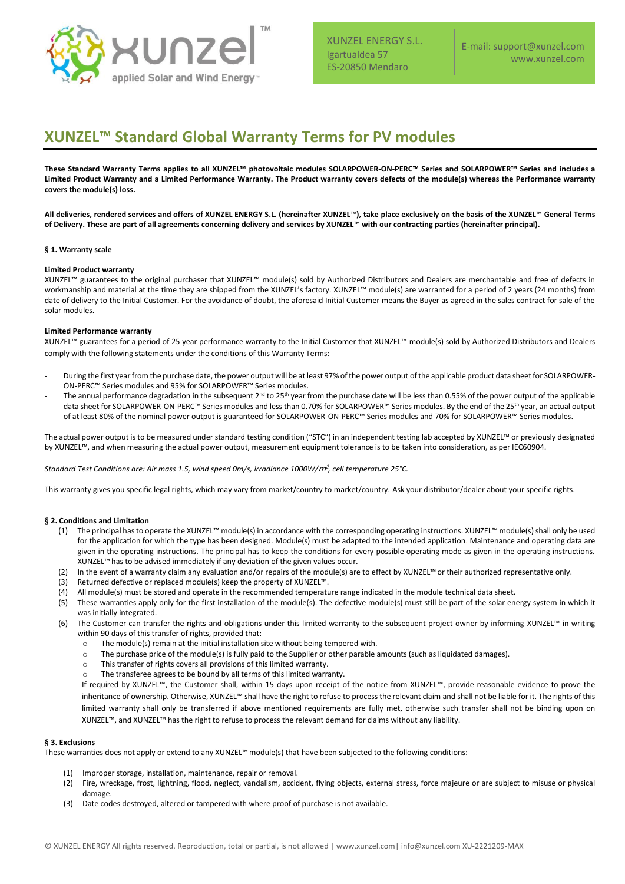

XUNZEL ENERGY S.L. Igartualdea 57 ES-20850 Mendaro

# **XUNZEL™ Standard Global Warranty Terms for PV modules**

**These Standard Warranty Terms applies to all XUNZEL™ photovoltaic modules SOLARPOWER-ON-PERC™ Series and SOLARPOWER™ Series and includes a Limited Product Warranty and a Limited Performance Warranty. The Product warranty covers defects of the module(s) whereas the Performance warranty covers the module(s) loss.** 

**All deliveries, rendered services and offers of XUNZEL ENERGY S.L. (hereinafter XUNZEL**™**), take place exclusively on the basis of the XUNZEL**™ **General Terms of Delivery. These are part of all agreements concerning delivery and services by XUNZEL**™ **with our contracting parties (hereinafter principal).** 

### **§ 1. Warranty scale**

### **Limited Product warranty**

XUNZEL™ guarantees to the original purchaser that XUNZEL™ module(s) sold by Authorized Distributors and Dealers are merchantable and free of defects in workmanship and material at the time they are shipped from the XUNZEL's factory. XUNZEL™ module(s) are warranted for a period of 2 years (24 months) from date of delivery to the Initial Customer. For the avoidance of doubt, the aforesaid Initial Customer means the Buyer as agreed in the sales contract for sale of the solar modules.

### **Limited Performance warranty**

XUNZEL™ guarantees for a period of 25 year performance warranty to the Initial Customer that XUNZEL™ module(s) sold by Authorized Distributors and Dealers comply with the following statements under the conditions of this Warranty Terms:

- During the first year from the purchase date, the power output will be at least 97% of the power output of the applicable product data sheet for SOLARPOWER-ON-PERC™ Series modules and 95% for SOLARPOWER™ Series modules.
- The annual performance degradation in the subsequent 2<sup>nd</sup> to 25<sup>th</sup> year from the purchase date will be less than 0.55% of the power output of the applicable data sheet for SOLARPOWER-ON-PERC™ Series modules and less than 0.70% for SOLARPOWER™ Series modules. By the end of the 25th year, an actual output of at least 80% of the nominal power output is guaranteed for SOLARPOWER-ON-PERC™ Series modules and 70% for SOLARPOWER™ Series modules.

The actual power output is to be measured under standard testing condition ("STC") in an independent testing lab accepted by XUNZEL™ or previously designated by XUNZEL™, and when measuring the actual power output, measurement equipment tolerance is to be taken into consideration, as per IEC60904.

*Standard Test Conditions are: Air mass 1.5, wind speed 0m/s, irradiance 1000W/*m<sup>2</sup> *, cell temperature 25°C.*

This warranty gives you specific legal rights, which may vary from market/country to market/country. Ask your distributor/dealer about your specific rights.

### **§ 2. Conditions and Limitation**

- (1) The principal has to operate the XUNZEL™ module(s) in accordance with the corresponding operating instructions. XUNZEL™ module(s)shall only be used for the application for which the type has been designed. Module(s) must be adapted to the intended application. Maintenance and operating data are given in the operating instructions. The principal has to keep the conditions for every possible operating mode as given in the operating instructions. XUNZEL™ has to be advised immediately if any deviation of the given values occur.
- (2) In the event of a warranty claim any evaluation and/or repairs of the module(s) are to effect by XUNZEL™ or their authorized representative only.
- (3) Returned defective or replaced module(s) keep the property of XUNZEL™.
- (4) All module(s) must be stored and operate in the recommended temperature range indicated in the module technical data sheet.
- (5) These warranties apply only for the first installation of the module(s). The defective module(s) must still be part of the solar energy system in which it was initially integrated.
- (6) The Customer can transfer the rights and obligations under this limited warranty to the subsequent project owner by informing XUNZEL™ in writing within 90 days of this transfer of rights, provided that:
	- o The module(s) remain at the initial installation site without being tempered with.
	- o The purchase price of the module(s) is fully paid to the Supplier or other parable amounts (such as liquidated damages).
	- o This transfer of rights covers all provisions of this limited warranty.
	- The transferee agrees to be bound by all terms of this limited warranty.

If required by XUNZEL™, the Customer shall, within 15 days upon receipt of the notice from XUNZEL™, provide reasonable evidence to prove the inheritance of ownership. Otherwise, XUNZEL™ shall have the right to refuse to process the relevant claim and shall not be liable for it. The rights of this limited warranty shall only be transferred if above mentioned requirements are fully met, otherwise such transfer shall not be binding upon on XUNZEL™, and XUNZEL™ has the right to refuse to process the relevant demand for claims without any liability.

### **§ 3. Exclusions**

These warranties does not apply or extend to any XUNZEL™module(s) that have been subjected to the following conditions:

- (1) Improper storage, installation, maintenance, repair or removal.
- (2) Fire, wreckage, frost, lightning, flood, neglect, vandalism, accident, flying objects, external stress, force majeure or are subject to misuse or physical damage.
- (3) Date codes destroyed, altered or tampered with where proof of purchase is not available.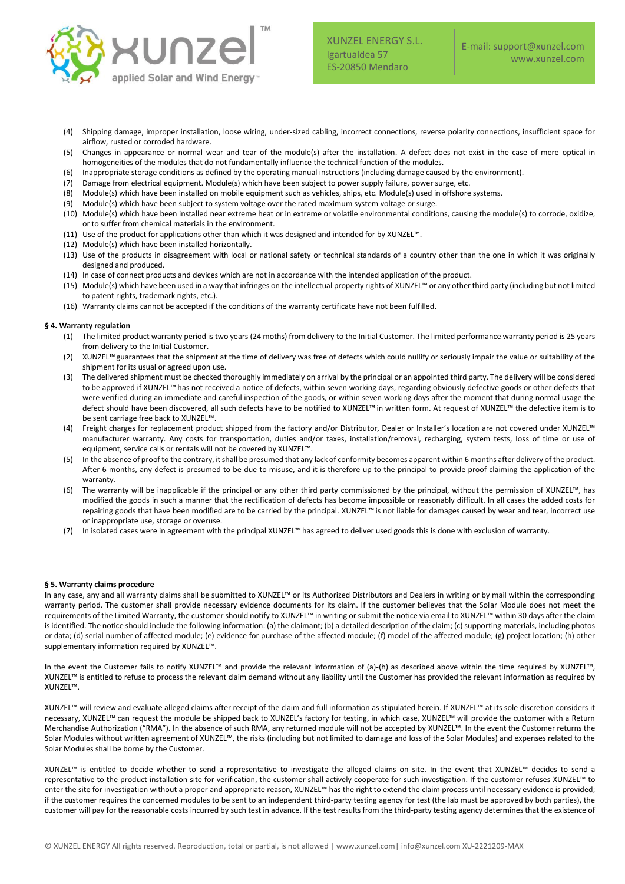

XUNZEL ENERGY S.L. Igartualdea 57 ES-20850 Mendaro

- (4) Shipping damage, improper installation, loose wiring, under-sized cabling, incorrect connections, reverse polarity connections, insufficient space for airflow, rusted or corroded hardware.
- (5) Changes in appearance or normal wear and tear of the module(s) after the installation. A defect does not exist in the case of mere optical in homogeneities of the modules that do not fundamentally influence the technical function of the modules.
- (6) Inappropriate storage conditions as defined by the operating manual instructions (including damage caused by the environment).
- (7) Damage from electrical equipment. Module(s) which have been subject to power supply failure, power surge, etc.
- (8) Module(s) which have been installed on mobile equipment such as vehicles, ships, etc. Module(s) used in offshore systems.
- (9) Module(s) which have been subject to system voltage over the rated maximum system voltage or surge.
- (10) Module(s) which have been installed near extreme heat or in extreme or volatile environmental conditions, causing the module(s) to corrode, oxidize, or to suffer from chemical materials in the environment.
- (11) Use of the product for applications other than which it was designed and intended for by XUNZEL™.
- (12) Module(s) which have been installed horizontally.
- (13) Use of the products in disagreement with local or national safety or technical standards of a country other than the one in which it was originally designed and produced.
- (14) In case of connect products and devices which are not in accordance with the intended application of the product.
- (15) Module(s) which have been used in a way that infringes on the intellectual property rights of XUNZEL™ or any other third party (including but not limited to patent rights, trademark rights, etc.).
- (16) Warranty claims cannot be accepted if the conditions of the warranty certificate have not been fulfilled.

### **§ 4. Warranty regulation**

- (1) The limited product warranty period is two years (24 moths) from delivery to the Initial Customer. The limited performance warranty period is 25 years from delivery to the Initial Customer.
- (2) XUNZEL™guarantees that the shipment at the time of delivery was free of defects which could nullify or seriously impair the value or suitability of the shipment for its usual or agreed upon use.
- (3) The delivered shipment must be checked thoroughly immediately on arrival by the principal or an appointed third party. The delivery will be considered to be approved if XUNZEL™ has not received a notice of defects, within seven working days, regarding obviously defective goods or other defects that were verified during an immediate and careful inspection of the goods, or within seven working days after the moment that during normal usage the defect should have been discovered, all such defects have to be notified to XUNZEL™ in written form. At request of XUNZEL™ the defective item is to be sent carriage free back to XUNZEL™.
- (4) Freight charges for replacement product shipped from the factory and/or Distributor, Dealer or Installer's location are not covered under XUNZEL™ manufacturer warranty. Any costs for transportation, duties and/or taxes, installation/removal, recharging, system tests, loss of time or use of equipment, service calls or rentals will not be covered by XUNZEL™.
- (5) In the absence of proof to the contrary, it shall be presumed that any lack of conformity becomes apparent within 6 months after delivery of the product. After 6 months, any defect is presumed to be due to misuse, and it is therefore up to the principal to provide proof claiming the application of the warranty.
- (6) The warranty will be inapplicable if the principal or any other third party commissioned by the principal, without the permission of XUNZEL™, has modified the goods in such a manner that the rectification of defects has become impossible or reasonably difficult. In all cases the added costs for repairing goods that have been modified are to be carried by the principal. XUNZEL™ is not liable for damages caused by wear and tear, incorrect use or inappropriate use, storage or overuse.
- (7) In isolated cases were in agreement with the principal XUNZEL™ has agreed to deliver used goods this is done with exclusion of warranty.

#### **§ 5. Warranty claims procedure**

In any case, any and all warranty claims shall be submitted to XUNZEL™ or its Authorized Distributors and Dealers in writing or by mail within the corresponding warranty period. The customer shall provide necessary evidence documents for its claim. If the customer believes that the Solar Module does not meet the requirements of the Limited Warranty, the customer should notify to XUNZEL™ in writing or submit the notice via email to XUNZEL™ within 30 days after the claim is identified. The notice should include the following information: (a) the claimant; (b) a detailed description of the claim; (c) supporting materials, including photos or data; (d) serial number of affected module; (e) evidence for purchase of the affected module; (f) model of the affected module; (g) project location; (h) other supplementary information required by XUNZEL™.

In the event the Customer fails to notify XUNZEL™ and provide the relevant information of (a)-(h) as described above within the time required by XUNZEL™, XUNZEL™ is entitled to refuse to process the relevant claim demand without any liability until the Customer has provided the relevant information as required by XUNZEL™.

XUNZEL™ will review and evaluate alleged claims after receipt of the claim and full information as stipulated herein. If XUNZEL™ at its sole discretion considers it necessary, XUNZEL™ can request the module be shipped back to XUNZEL's factory for testing, in which case, XUNZEL™ will provide the customer with a Return Merchandise Authorization ("RMA"). In the absence of such RMA, any returned module will not be accepted by XUNZEL™. In the event the Customer returns the Solar Modules without written agreement of XUNZEL™, the risks (including but not limited to damage and loss of the Solar Modules) and expenses related to the Solar Modules shall be borne by the Customer.

XUNZEL™ is entitled to decide whether to send a representative to investigate the alleged claims on site. In the event that XUNZEL™ decides to send a representative to the product installation site for verification, the customer shall actively cooperate for such investigation. If the customer refuses XUNZEL™ to enter the site for investigation without a proper and appropriate reason, XUNZEL™ has the right to extend the claim process until necessary evidence is provided; if the customer requires the concerned modules to be sent to an independent third-party testing agency for test (the lab must be approved by both parties), the customer will pay for the reasonable costs incurred by such test in advance. If the test results from the third-party testing agency determines that the existence of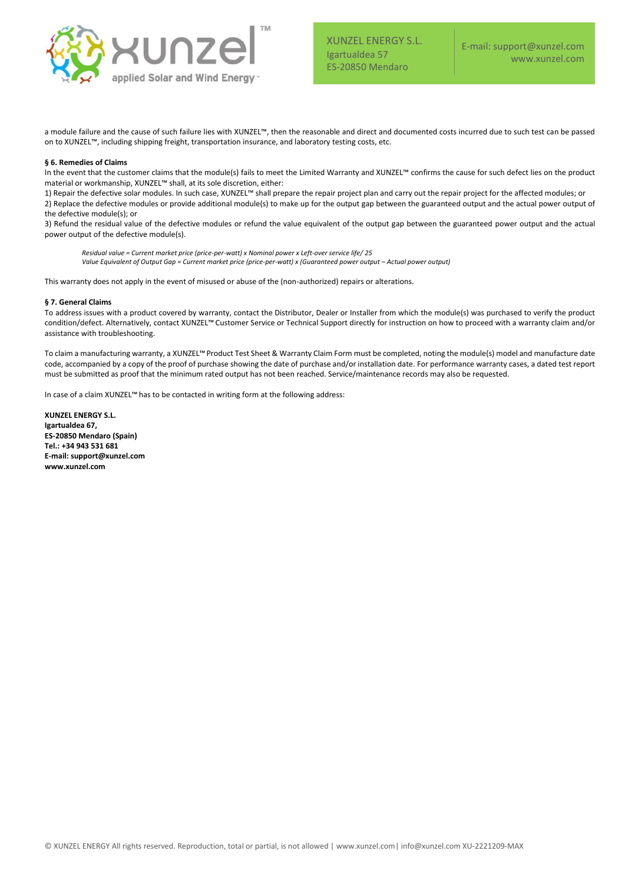

a module failure and the cause of such failure lies with XUNZEL™, then the reasonable and direct and documented costs incurred due to such test can be passed on to XUNZEL™, including shipping freight, transportation insurance, and laboratory testing costs, etc.

### **§ 6. Remedies of Claims**

In the event that the customer claims that the module(s) fails to meet the Limited Warranty and XUNZEL™ confirms the cause for such defect lies on the product material or workmanship, XUNZEL™ shall, at its sole discretion, either:

1) Repair the defective solar modules. In such case, XUNZEL™ shall prepare the repair project plan and carry out the repair project for the affected modules; or 2) Replace the defective modules or provide additional module(s) to make up for the output gap between the guaranteed output and the actual power output of the defective module(s); or

3) Refund the residual value of the defective modules or refund the value equivalent of the output gap between the guaranteed power output and the actual power output of the defective module(s).

*Residual value = Current market price (price-per-watt) x Nominal power x Left-over service life/ 25 Value Equivalent of Output Gap = Current market price (price-per-watt) x (Guaranteed power output – Actual power output)*

This warranty does not apply in the event of misused or abuse of the (non-authorized) repairs or alterations.

### **§ 7. General Claims**

To address issues with a product covered by warranty, contact the Distributor, Dealer or Installer from which the module(s) was purchased to verify the product condition/defect. Alternatively, contact XUNZEL™ Customer Service or Technical Support directly for instruction on how to proceed with a warranty claim and/or assistance with troubleshooting.

To claim a manufacturing warranty, a XUNZEL™Product Test Sheet & Warranty Claim Form must be completed, noting the module(s) model and manufacture date code, accompanied by a copy of the proof of purchase showing the date of purchase and/or installation date. For performance warranty cases, a dated test report must be submitted as proof that the minimum rated output has not been reached. Service/maintenance records may also be requested.

In case of a claim XUNZEL™ has to be contacted in writing form at the following address:

**XUNZEL ENERGY S.L. Igartualdea 67, ES-20850 Mendaro (Spain) Tel.: +34 943 531 681 E-mail: support@xunzel.com www.xunzel.com**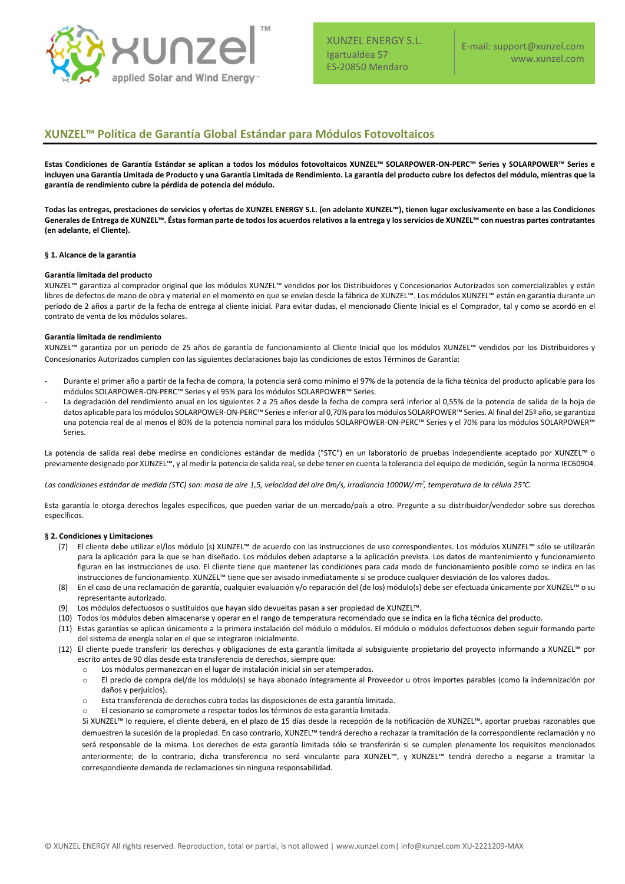

XUNZEL ENERGY S.L. Igartualdea 57 ES-20850 Mendaro

## **XUNZEL™ Política de Garantía Global Estándar para Módulos Fotovoltaicos**

**Estas Condiciones de Garantía Estándar se aplican a todos los módulos fotovoltaicos XUNZEL™ SOLARPOWER-ON-PERC™ Series y SOLARPOWER™ Series e incluyen una Garantía Limitada de Producto y una Garantía Limitada de Rendimiento. La garantía del producto cubre los defectos del módulo, mientras que la garantía de rendimiento cubre la pérdida de potencia del módulo.** 

**Todas las entregas, prestaciones de servicios y ofertas de XUNZEL ENERGY S.L. (en adelante XUNZEL™), tienen lugar exclusivamente en base a las Condiciones Generales de Entrega de XUNZEL™. Éstas forman parte de todos los acuerdos relativos a la entrega y los servicios de XUNZEL™ con nuestras partes contratantes (en adelante, el Cliente).**

### **§ 1. Alcance de la garantía**

### **Garantía limitada del producto**

XUNZEL™ garantiza al comprador original que los módulos XUNZEL™ vendidos por los Distribuidores y Concesionarios Autorizados son comercializables y están libres de defectos de mano de obra y material en el momento en que se envían desde la fábrica de XUNZEL™. Los módulos XUNZEL™ están en garantía durante un período de 2 años a partir de la fecha de entrega al cliente inicial. Para evitar dudas, el mencionado Cliente Inicial es el Comprador, tal y como se acordó en el contrato de venta de los módulos solares.

### **Garantía limitada de rendimiento**

XUNZEL™ garantiza por un periodo de 25 años de garantía de funcionamiento al Cliente Inicial que los módulos XUNZEL™ vendidos por los Distribuidores y Concesionarios Autorizados cumplen con las siguientes declaraciones bajo las condiciones de estos Términos de Garantía:

- Durante el primer año a partir de la fecha de compra, la potencia será como mínimo el 97% de la potencia de la ficha técnica del producto aplicable para los módulos SOLARPOWER-ON-PERC™ Series y el 95% para los módulos SOLARPOWER™ Series.
- La degradación del rendimiento anual en los siguientes 2 a 25 años desde la fecha de compra será inferior al 0,55% de la potencia de salida de la hoja de datos aplicable para los módulos SOLARPOWER-ON-PERC™ Series e inferior al 0,70% para los módulos SOLARPOWER™ Series. Al final del 25º año, se garantiza una potencia real de al menos el 80% de la potencia nominal para los módulos SOLARPOWER-ON-PERC™ Series y el 70% para los módulos SOLARPOWER™ Series.

La potencia de salida real debe medirse en condiciones estándar de medida ("STC") en un laboratorio de pruebas independiente aceptado por XUNZEL™ o previamente designado por XUNZEL™, y al medir la potencia de salida real, se debe tener en cuenta la tolerancia del equipo de medición, según la norma IEC60904.

*Las condiciones estándar de medida (STC) son: masa de aire 1,5, velocidad del aire 0m/s, irradiancia 1000W/*m<sup>2</sup> *, temperatura de la célula 25°C.*

Esta garantía le otorga derechos legales específicos, que pueden variar de un mercado/país a otro. Pregunte a su distribuidor/vendedor sobre sus derechos específicos.

### **§ 2. Condiciones y Limitaciones**

- (7) El cliente debe utilizar el/los módulo (s) XUNZEL™ de acuerdo con las instrucciones de uso correspondientes. Los módulos XUNZEL™ sólo se utilizarán para la aplicación para la que se han diseñado. Los módulos deben adaptarse a la aplicación prevista. Los datos de mantenimiento y funcionamiento figuran en las instrucciones de uso. El cliente tiene que mantener las condiciones para cada modo de funcionamiento posible como se indica en las instrucciones de funcionamiento. XUNZEL™ tiene que ser avisado inmediatamente si se produce cualquier desviación de los valores dados.
- (8) En el caso de una reclamación de garantía, cualquier evaluación y/o reparación del (de los) módulo(s) debe ser efectuada únicamente por XUNZEL™ o su representante autorizado.
- (9) Los módulos defectuosos o sustituidos que hayan sido devueltas pasan a ser propiedad de XUNZEL™.
- (10) Todos los módulos deben almacenarse y operar en el rango de temperatura recomendado que se indica en la ficha técnica del producto.
- (11) Estas garantías se aplican únicamente a la primera instalación del módulo o módulos. El módulo o módulos defectuosos deben seguir formando parte del sistema de energía solar en el que se integraron inicialmente.
- (12) El cliente puede transferir los derechos y obligaciones de esta garantía limitada al subsiguiente propietario del proyecto informando a XUNZEL™ por escrito antes de 90 días desde esta transferencia de derechos, siempre que:
	- Los módulos permanezcan en el lugar de instalación inicial sin ser atemperados.
	- o El precio de compra del/de los módulo(s) se haya abonado íntegramente al Proveedor u otros importes parables (como la indemnización por daños y perjuicios).
	- o Esta transferencia de derechos cubra todas las disposiciones de esta garantía limitada.
	- o El cesionario se compromete a respetar todos los términos de esta garantía limitada.

Si XUNZEL™ lo requiere, el cliente deberá, en el plazo de 15 días desde la recepción de la notificación de XUNZEL™, aportar pruebas razonables que demuestren la sucesión de la propiedad. En caso contrario, XUNZEL™ tendrá derecho a rechazar la tramitación de la correspondiente reclamación y no será responsable de la misma. Los derechos de esta garantía limitada sólo se transferirán si se cumplen plenamente los requisitos mencionados anteriormente; de lo contrario, dicha transferencia no será vinculante para XUNZEL™, y XUNZEL™ tendrá derecho a negarse a tramitar la correspondiente demanda de reclamaciones sin ninguna responsabilidad.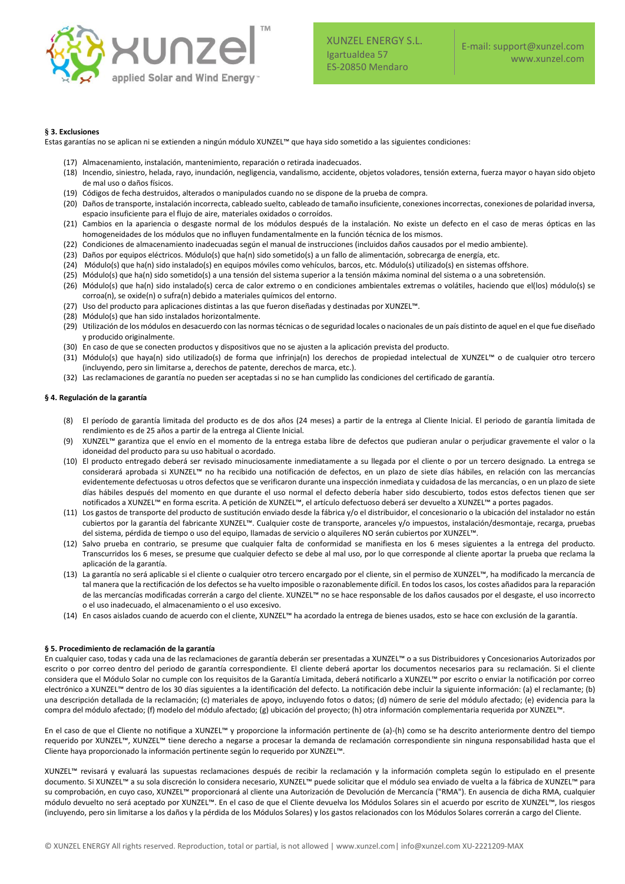

### **§ 3. Exclusiones**

Estas garantías no se aplican ni se extienden a ningún módulo XUNZEL™ que haya sido sometido a las siguientes condiciones:

- (17) Almacenamiento, instalación, mantenimiento, reparación o retirada inadecuados.
- (18) Incendio, siniestro, helada, rayo, inundación, negligencia, vandalismo, accidente, objetos voladores, tensión externa, fuerza mayor o hayan sido objeto de mal uso o daños físicos.
- (19) Códigos de fecha destruidos, alterados o manipulados cuando no se dispone de la prueba de compra.
- (20) Daños de transporte, instalación incorrecta, cableado suelto, cableado de tamaño insuficiente, conexiones incorrectas, conexiones de polaridad inversa, espacio insuficiente para el flujo de aire, materiales oxidados o corroídos.
- (21) Cambios en la apariencia o desgaste normal de los módulos después de la instalación. No existe un defecto en el caso de meras ópticas en las homogeneidades de los módulos que no influyen fundamentalmente en la función técnica de los mismos.
- (22) Condiciones de almacenamiento inadecuadas según el manual de instrucciones (incluidos daños causados por el medio ambiente).
- (23) Daños por equipos eléctricos. Módulo(s) que ha(n) sido sometido(s) a un fallo de alimentación, sobrecarga de energía, etc.
- (24) Módulo(s) que ha(n) sido instalado(s) en equipos móviles como vehículos, barcos, etc. Módulo(s) utilizado(s) en sistemas offshore.
- (25) Módulo(s) que ha(n) sido sometido(s) a una tensión del sistema superior a la tensión máxima nominal del sistema o a una sobretensión.
- (26) Módulo(s) que ha(n) sido instalado(s) cerca de calor extremo o en condiciones ambientales extremas o volátiles, haciendo que el(los) módulo(s) se corroa(n), se oxide(n) o sufra(n) debido a materiales químicos del entorno.
- (27) Uso del producto para aplicaciones distintas a las que fueron diseñadas y destinadas por XUNZEL™.
- (28) Módulo(s) que han sido instalados horizontalmente.
- (29) Utilización de los módulos en desacuerdo con las normas técnicas o de seguridad locales o nacionales de un país distinto de aquel en el que fue diseñado y producido originalmente.
- (30) En caso de que se conecten productos y dispositivos que no se ajusten a la aplicación prevista del producto.
- (31) Módulo(s) que haya(n) sido utilizado(s) de forma que infrinja(n) los derechos de propiedad intelectual de XUNZEL™ o de cualquier otro tercero (incluyendo, pero sin limitarse a, derechos de patente, derechos de marca, etc.).
- (32) Las reclamaciones de garantía no pueden ser aceptadas si no se han cumplido las condiciones del certificado de garantía.

### **§ 4. Regulación de la garantía**

- (8) El período de garantía limitada del producto es de dos años (24 meses) a partir de la entrega al Cliente Inicial. El periodo de garantía limitada de rendimiento es de 25 años a partir de la entrega al Cliente Inicial.
- (9) XUNZEL™ garantiza que el envío en el momento de la entrega estaba libre de defectos que pudieran anular o perjudicar gravemente el valor o la idoneidad del producto para su uso habitual o acordado.
- (10) El producto entregado deberá ser revisado minuciosamente inmediatamente a su llegada por el cliente o por un tercero designado. La entrega se considerará aprobada si XUNZEL™ no ha recibido una notificación de defectos, en un plazo de siete días hábiles, en relación con las mercancías evidentemente defectuosas u otros defectos que se verificaron durante una inspección inmediata y cuidadosa de las mercancías, o en un plazo de siete días hábiles después del momento en que durante el uso normal el defecto debería haber sido descubierto, todos estos defectos tienen que ser notificados a XUNZEL™ en forma escrita. A petición de XUNZEL™, el artículo defectuoso deberá ser devuelto a XUNZEL™ a portes pagados.
- (11) Los gastos de transporte del producto de sustitución enviado desde la fábrica y/o el distribuidor, el concesionario o la ubicación del instalador no están cubiertos por la garantía del fabricante XUNZEL™. Cualquier coste de transporte, aranceles y/o impuestos, instalación/desmontaje, recarga, pruebas del sistema, pérdida de tiempo o uso del equipo, llamadas de servicio o alquileres NO serán cubiertos por XUNZEL™.
- (12) Salvo prueba en contrario, se presume que cualquier falta de conformidad se manifiesta en los 6 meses siguientes a la entrega del producto. Transcurridos los 6 meses, se presume que cualquier defecto se debe al mal uso, por lo que corresponde al cliente aportar la prueba que reclama la aplicación de la garantía.
- (13) La garantía no será aplicable si el cliente o cualquier otro tercero encargado por el cliente, sin el permiso de XUNZEL™, ha modificado la mercancía de tal manera que la rectificación de los defectos se ha vuelto imposible o razonablemente difícil. En todos los casos, los costes añadidos para la reparación de las mercancías modificadas correrán a cargo del cliente. XUNZEL™ no se hace responsable de los daños causados por el desgaste, el uso incorrecto o el uso inadecuado, el almacenamiento o el uso excesivo.
- (14) En casos aislados cuando de acuerdo con el cliente, XUNZEL™ ha acordado la entrega de bienes usados, esto se hace con exclusión de la garantía.

### **§ 5. Procedimiento de reclamación de la garantía**

En cualquier caso, todas y cada una de las reclamaciones de garantía deberán ser presentadas a XUNZEL™ o a sus Distribuidores y Concesionarios Autorizados por escrito o por correo dentro del periodo de garantía correspondiente. El cliente deberá aportar los documentos necesarios para su reclamación. Si el cliente considera que el Módulo Solar no cumple con los requisitos de la Garantía Limitada, deberá notificarlo a XUNZEL™ por escrito o enviar la notificación por correo electrónico a XUNZEL™ dentro de los 30 días siguientes a la identificación del defecto. La notificación debe incluir la siguiente información: (a) el reclamante; (b) una descripción detallada de la reclamación; (c) materiales de apoyo, incluyendo fotos o datos; (d) número de serie del módulo afectado; (e) evidencia para la compra del módulo afectado; (f) modelo del módulo afectado; (g) ubicación del proyecto; (h) otra información complementaria requerida por XUNZEL™.

En el caso de que el Cliente no notifique a XUNZEL™ y proporcione la información pertinente de (a)-(h) como se ha descrito anteriormente dentro del tiempo requerido por XUNZEL™, XUNZEL™ tiene derecho a negarse a procesar la demanda de reclamación correspondiente sin ninguna responsabilidad hasta que el Cliente haya proporcionado la información pertinente según lo requerido por XUNZEL™.

XUNZEL™ revisará y evaluará las supuestas reclamaciones después de recibir la reclamación y la información completa según lo estipulado en el presente documento. Si XUNZEL™ a su sola discreción lo considera necesario, XUNZEL™ puede solicitar que el módulo sea enviado de vuelta a la fábrica de XUNZEL™ para su comprobación, en cuyo caso, XUNZEL™ proporcionará al cliente una Autorización de Devolución de Mercancía ("RMA"). En ausencia de dicha RMA, cualquier módulo devuelto no será aceptado por XUNZEL™. En el caso de que el Cliente devuelva los Módulos Solares sin el acuerdo por escrito de XUNZEL™, los riesgos (incluyendo, pero sin limitarse a los daños y la pérdida de los Módulos Solares) y los gastos relacionados con los Módulos Solares correrán a cargo del Cliente.